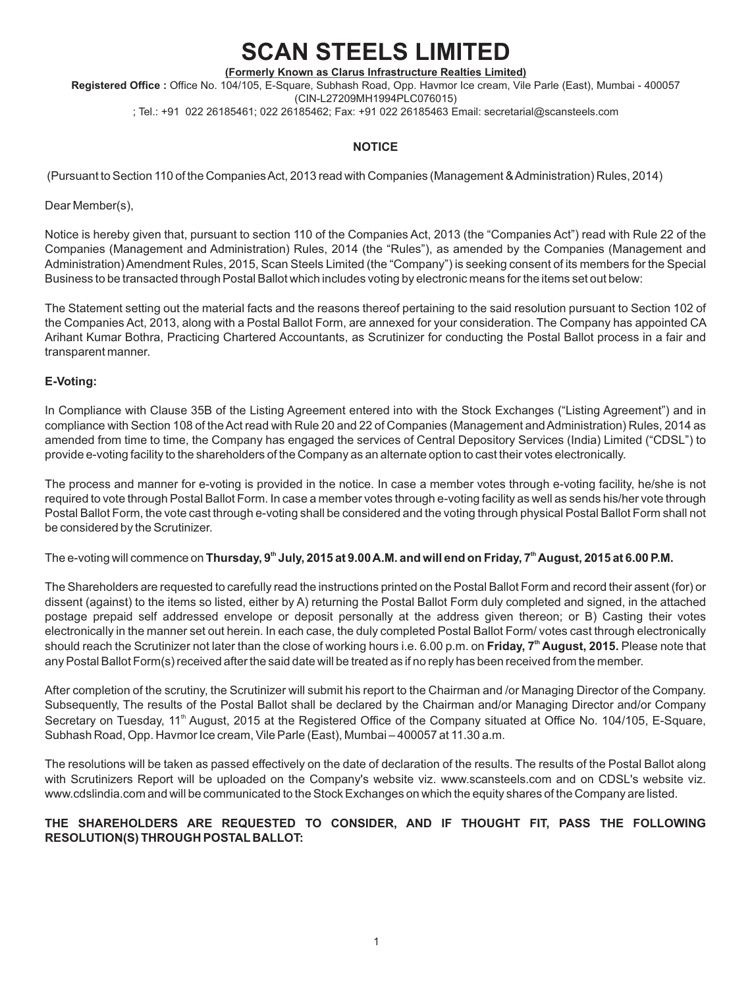# **SCAN STEELS LIMITED**

**(Formerly Known as Clarus Infrastructure Realties Limited) Registered Office :** Office No. 104/105, E-Square, Subhash Road, Opp. Havmor Ice cream, Vile Parle (East), Mumbai - 400057 (CIN-L27209MH1994PLC076015) ; Tel.: +91 022 26185461; 022 26185462; Fax: +91 022 26185463 Email: secretarial@scansteels.com

#### **NOTICE**

(Pursuant to Section 110 of the Companies Act, 2013 read with Companies (Management & Administration) Rules, 2014)

Dear Member(s),

Notice is hereby given that, pursuant to section 110 of the Companies Act, 2013 (the "Companies Act") read with Rule 22 of the Companies (Management and Administration) Rules, 2014 (the "Rules"), as amended by the Companies (Management and Administration) Amendment Rules, 2015, Scan Steels Limited (the "Company") is seeking consent of its members for the Special Business to be transacted through Postal Ballot which includes voting by electronic means for the items set out below:

The Statement setting out the material facts and the reasons thereof pertaining to the said resolution pursuant to Section 102 of the Companies Act, 2013, along with a Postal Ballot Form, are annexed for your consideration. The Company has appointed CA Arihant Kumar Bothra, Practicing Chartered Accountants, as Scrutinizer for conducting the Postal Ballot process in a fair and transparent manner.

#### **E-Voting:**

In Compliance with Clause 35B of the Listing Agreement entered into with the Stock Exchanges ("Listing Agreement") and in compliance with Section 108 of the Act read with Rule 20 and 22 of Companies (Management and Administration) Rules, 2014 as amended from time to time, the Company has engaged the services of Central Depository Services (India) Limited ("CDSL") to provide e-voting facility to the shareholders of the Company as an alternate option to cast their votes electronically.

The process and manner for e-voting is provided in the notice. In case a member votes through e-voting facility, he/she is not required to vote through Postal Ballot Form. In case a member votes through e-voting facility as well as sends his/her vote through Postal Ballot Form, the vote cast through e-voting shall be considered and the voting through physical Postal Ballot Form shall not be considered by the Scrutinizer.

The e-voting will commence on Thursday, 9<sup>th</sup> July, 2015 at 9.00 A.M. and will end on Friday, 7<sup>th</sup> August, 2015 at 6.00 P.M.

The Shareholders are requested to carefully read the instructions printed on the Postal Ballot Form and record their assent (for) or dissent (against) to the items so listed, either by A) returning the Postal Ballot Form duly completed and signed, in the attached postage prepaid self addressed envelope or deposit personally at the address given thereon; or B) Casting their votes electronically in the manner set out herein. In each case, the duly completed Postal Ballot Form/ votes cast through electronically **th** should reach the Scrutinizer not later than the close of working hours i.e. 6.00 p.m. on **Friday, 7 August, 2015.** Please note that any Postal Ballot Form(s) received after the said date will be treated as if no reply has been received from the member.

After completion of the scrutiny, the Scrutinizer will submit his report to the Chairman and /or Managing Director of the Company. Subsequently, The results of the Postal Ballot shall be declared by the Chairman and/or Managing Director and/or Company Secretary on Tuesday, 11<sup>th</sup> August, 2015 at the Registered Office of the Company situated at Office No. 104/105, E-Square, Subhash Road, Opp. Havmor Ice cream, Vile Parle (East), Mumbai – 400057 at 11.30 a.m.

The resolutions will be taken as passed effectively on the date of declaration of the results. The results of the Postal Ballot along with Scrutinizers Report will be uploaded on the Company's website viz. www.scansteels.com and on CDSL's website viz. www.cdslindia.com and will be communicated to the Stock Exchanges on which the equity shares of the Company are listed.

### **THE SHAREHOLDERS ARE REQUESTED TO CONSIDER, AND IF THOUGHT FIT, PASS THE FOLLOWING RESOLUTION(S) THROUGH POSTAL BALLOT:**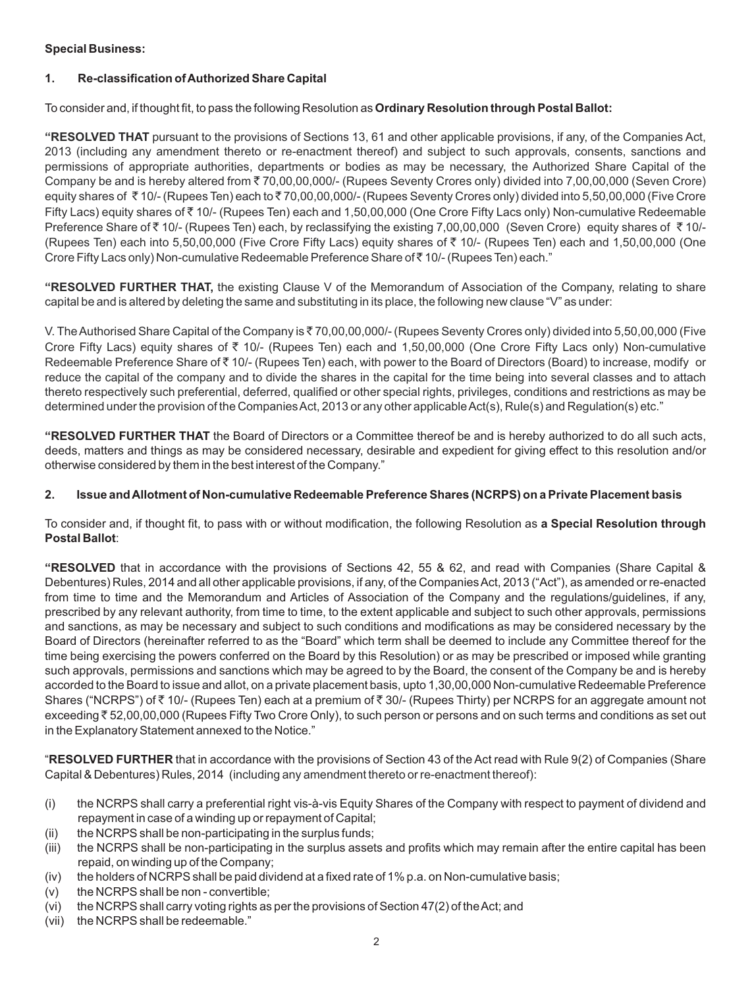# **Special Business:**

# **1. Re-classification of Authorized Share Capital**

To consider and, if thought fit, to pass the following Resolution as **Ordinary Resolution through Postal Ballot:**

**"RESOLVED THAT** pursuant to the provisions of Sections 13, 61 and other applicable provisions, if any, of the Companies Act, 2013 (including any amendment thereto or re-enactment thereof) and subject to such approvals, consents, sanctions and permissions of appropriate authorities, departments or bodies as may be necessary, the Authorized Share Capital of the Company be and is hereby altered from  $\bar{z}$  70,00,000/- (Rupees Seventy Crores only) divided into 7,00,00,000 (Seven Crore) equity shares of ₹10/- (Rupees Ten) each to ₹70,00,00,000/- (Rupees Seventy Crores only) divided into 5,50,00,000 (Five Crore Fifty Lacs) equity shares of  $\bar{\tau}$  10/- (Rupees Ten) each and 1,50,00,000 (One Crore Fifty Lacs only) Non-cumulative Redeemable Preference Share of  $\bar{\tau}$  10/- (Rupees Ten) each, by reclassifying the existing 7,00,00,000 (Seven Crore) equity shares of  $\bar{\tau}$  10/-(Rupees Ten) each into 5,50,00,000 (Five Crore Fifty Lacs) equity shares of  $\bar{\tau}$  10/- (Rupees Ten) each and 1,50,00,000 (One Crore Fifty Lacs only) Non-cumulative Redeemable Preference Share of ₹10/- (Rupees Ten) each."

**"RESOLVED FURTHER THAT,** the existing Clause V of the Memorandum of Association of the Company, relating to share capital be and is altered by deleting the same and substituting in its place, the following new clause "V" as under:

Redeemable Preference Share of ₹ 10/- (Rupees Ten) each, with power to the Board of Directors (Board) to increase, modify or V. The Authorised Share Capital of the Company is ₹70,00,00,000/- (Rupees Seventy Crores only) divided into 5,50,00,000 (Five Crore Fifty Lacs) equity shares of  $\bar{\tau}$  10/- (Rupees Ten) each and 1,50,00,000 (One Crore Fifty Lacs only) Non-cumulative reduce the capital of the company and to divide the shares in the capital for the time being into several classes and to attach thereto respectively such preferential, deferred, qualified or other special rights, privileges, conditions and restrictions as may be determined under the provision of the Companies Act, 2013 or any other applicable Act(s), Rule(s) and Regulation(s) etc."

**"RESOLVED FURTHER THAT** the Board of Directors or a Committee thereof be and is hereby authorized to do all such acts, deeds, matters and things as may be considered necessary, desirable and expedient for giving effect to this resolution and/or otherwise considered by them in the best interest of the Company."

#### **2. Issue and Allotment of Non-cumulative Redeemable Preference Shares (NCRPS) on a Private Placement basis**

To consider and, if thought fit, to pass with or without modification, the following Resolution as **a Special Resolution through Postal Ballot**:

**"RESOLVED** that in accordance with the provisions of Sections 42, 55 & 62, and read with Companies (Share Capital & Debentures) Rules, 2014 and all other applicable provisions, if any, of the Companies Act, 2013 ("Act"), as amended or re-enacted from time to time and the Memorandum and Articles of Association of the Company and the regulations/guidelines, if any, prescribed by any relevant authority, from time to time, to the extent applicable and subject to such other approvals, permissions and sanctions, as may be necessary and subject to such conditions and modifications as may be considered necessary by the Board of Directors (hereinafter referred to as the "Board" which term shall be deemed to include any Committee thereof for the time being exercising the powers conferred on the Board by this Resolution) or as may be prescribed or imposed while granting such approvals, permissions and sanctions which may be agreed to by the Board, the consent of the Company be and is hereby accorded to the Board to issue and allot, on a private placement basis, upto 1,30,00,000 Non-cumulative Redeemable Preference Shares ("NCRPS") of ₹ 10/- (Rupees Ten) each at a premium of ₹ 30/- (Rupees Thirty) per NCRPS for an aggregate amount not exceeding  $\bar{\rm z}$  52,00,00,000 (Rupees Fifty Two Crore Only), to such person or persons and on such terms and conditions as set out in the Explanatory Statement annexed to the Notice."

"**RESOLVED FURTHER** that in accordance with the provisions of Section 43 of the Act read with Rule 9(2) of Companies (Share Capital & Debentures) Rules, 2014 (including any amendment thereto or re-enactment thereof):

- (i) the NCRPS shall carry a preferential right vis-à-vis Equity Shares of the Company with respect to payment of dividend and repayment in case of a winding up or repayment of Capital;
- (ii) the NCRPS shall be non-participating in the surplus funds;
- (iii) the NCRPS shall be non-participating in the surplus assets and profits which may remain after the entire capital has been repaid, on winding up of the Company;
- (iv) the holders of NCRPS shall be paid dividend at a fixed rate of 1% p.a. on Non-cumulative basis;
- (v) the NCRPS shall be non convertible;
- (vi) the NCRPS shall carry voting rights as per the provisions of Section 47(2) of the Act; and
- (vii) the NCRPS shall be redeemable."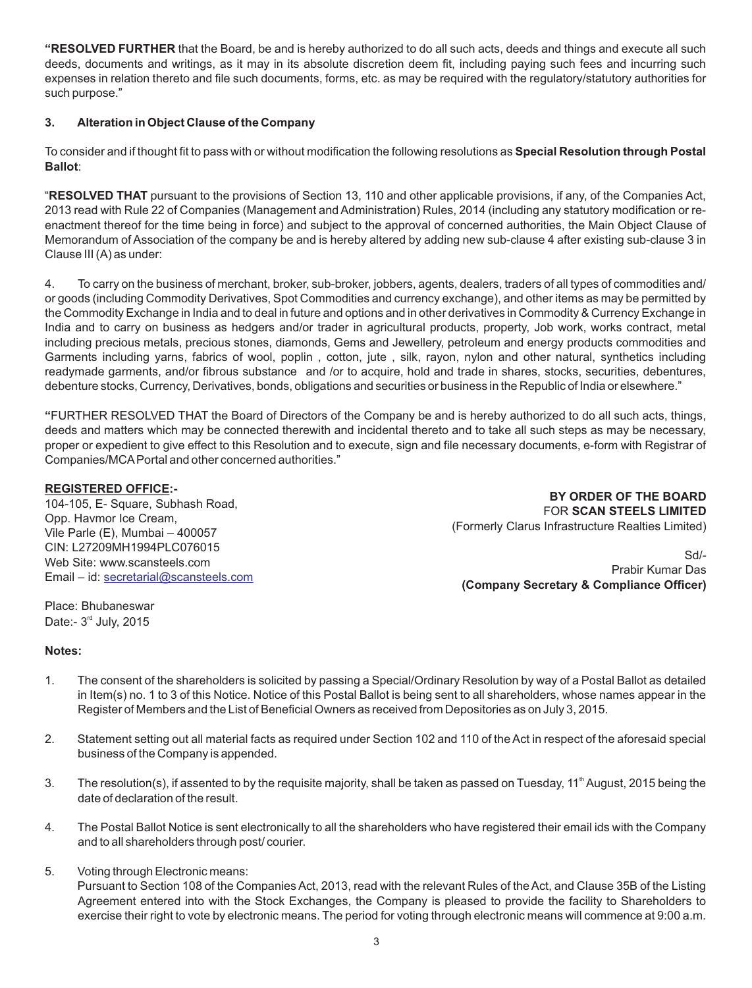**"RESOLVED FURTHER** that the Board, be and is hereby authorized to do all such acts, deeds and things and execute all such deeds, documents and writings, as it may in its absolute discretion deem fit, including paying such fees and incurring such expenses in relation thereto and file such documents, forms, etc. as may be required with the regulatory/statutory authorities for such purpose."

#### **3. Alteration in Object Clause of the Company**

To consider and if thought fit to pass with or without modification the following resolutions as **Special Resolution through Postal Ballot**:

"**RESOLVED THAT** pursuant to the provisions of Section 13, 110 and other applicable provisions, if any, of the Companies Act, 2013 read with Rule 22 of Companies (Management and Administration) Rules, 2014 (including any statutory modification or reenactment thereof for the time being in force) and subject to the approval of concerned authorities, the Main Object Clause of Memorandum of Association of the company be and is hereby altered by adding new sub-clause 4 after existing sub-clause 3 in Clause III (A) as under:

4. To carry on the business of merchant, broker, sub-broker, jobbers, agents, dealers, traders of all types of commodities and/ or goods (including Commodity Derivatives, Spot Commodities and currency exchange), and other items as may be permitted by the Commodity Exchange in India and to deal in future and options and in other derivatives in Commodity & Currency Exchange in India and to carry on business as hedgers and/or trader in agricultural products, property, Job work, works contract, metal including precious metals, precious stones, diamonds, Gems and Jewellery, petroleum and energy products commodities and Garments including yarns, fabrics of wool, poplin , cotton, jute , silk, rayon, nylon and other natural, synthetics including readymade garments, and/or fibrous substance and /or to acquire, hold and trade in shares, stocks, securities, debentures, debenture stocks, Currency, Derivatives, bonds, obligations and securities or business in the Republic of India or elsewhere."

**"**FURTHER RESOLVED THAT the Board of Directors of the Company be and is hereby authorized to do all such acts, things, deeds and matters which may be connected therewith and incidental thereto and to take all such steps as may be necessary, proper or expedient to give effect to this Resolution and to execute, sign and file necessary documents, e-form with Registrar of Companies/MCAPortal and other concerned authorities."

#### **REGISTERED OFFICE:-**

104-105, E- Square, Subhash Road, Opp. Havmor Ice Cream, Vile Parle (E), Mumbai – 400057 CIN: L27209MH1994PLC076015 Web Site: www.scansteels.com Email – id: [secretarial@scansteels.com](mailto:secretarial@scansteels.com)

 **BY ORDER OF THE BOARD** FOR **SCAN STEELS LIMITED** (Formerly Clarus Infrastructure Realties Limited)

Sd/- Prabir Kumar Das  **(Company Secretary & Compliance Officer)** 

Place: Bhubaneswar Date:-  $3<sup>rd</sup>$  July, 2015

#### **Notes:**

- 1. The consent of the shareholders is solicited by passing a Special/Ordinary Resolution by way of a Postal Ballot as detailed in Item(s) no. 1 to 3 of this Notice. Notice of this Postal Ballot is being sent to all shareholders, whose names appear in the Register of Members and the List of Beneficial Owners as received from Depositories as on July 3, 2015.
- 2. Statement setting out all material facts as required under Section 102 and 110 of the Act in respect of the aforesaid special business of the Company is appended.
- 3. The resolution(s), if assented to by the requisite majority, shall be taken as passed on Tuesday, 11<sup>th</sup> August, 2015 being the date of declaration of the result.
- 4. The Postal Ballot Notice is sent electronically to all the shareholders who have registered their email ids with the Company and to all shareholders through post/ courier.
- 5. Voting through Electronic means: Pursuant to Section 108 of the Companies Act, 2013, read with the relevant Rules of the Act, and Clause 35B of the Listing Agreement entered into with the Stock Exchanges, the Company is pleased to provide the facility to Shareholders to exercise their right to vote by electronic means. The period for voting through electronic means will commence at 9:00 a.m.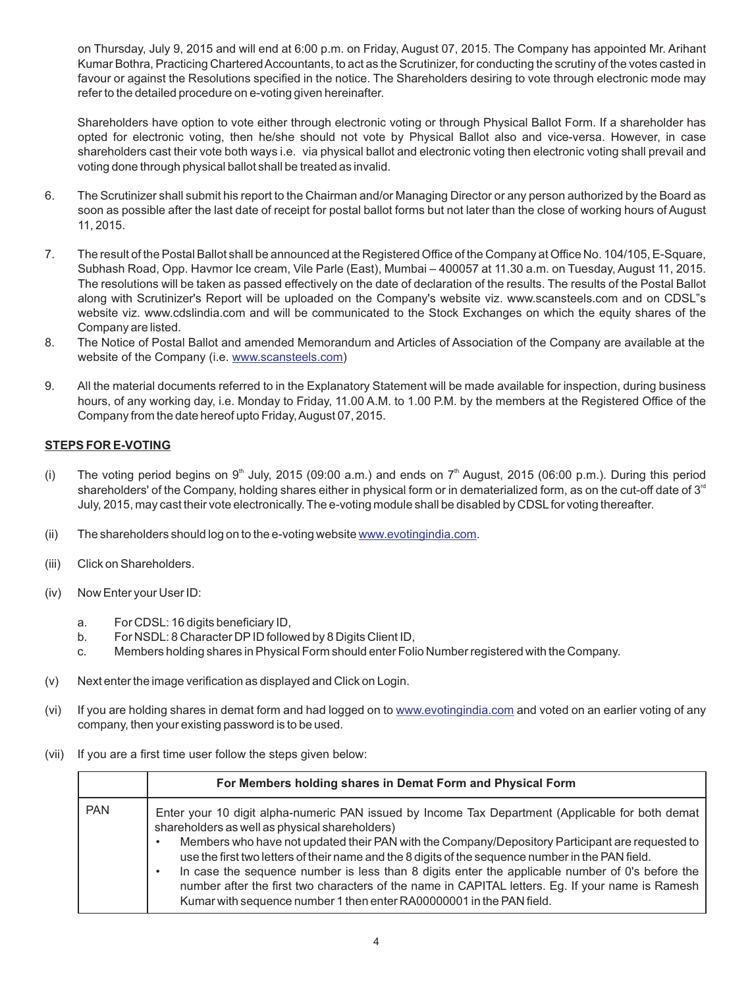on Thursday, July 9, 2015 and will end at 6:00 p.m. on Friday, August 07, 2015. The Company has appointed Mr. Arihant Kumar Bothra, Practicing Chartered Accountants, to act as the Scrutinizer, for conducting the scrutiny of the votes casted in favour or against the Resolutions specified in the notice. The Shareholders desiring to vote through electronic mode may refer to the detailed procedure on e-voting given hereinafter.

Shareholders have option to vote either through electronic voting or through Physical Ballot Form. If a shareholder has opted for electronic voting, then he/she should not vote by Physical Ballot also and vice-versa. However, in case shareholders cast their vote both ways i.e. via physical ballot and electronic voting then electronic voting shall prevail and voting done through physical ballot shall be treated as invalid.

- 6. The Scrutinizer shall submit his report to the Chairman and/or Managing Director or any person authorized by the Board as soon as possible after the last date of receipt for postal ballot forms but not later than the close of working hours of August 11, 2015.
- 7. The result of the Postal Ballot shall be announced at the Registered Office of the Company at Office No. 104/105, E-Square, Subhash Road, Opp. Havmor Ice cream, Vile Parle (East), Mumbai – 400057 at 11.30 a.m. on Tuesday, August 11, 2015. The resolutions will be taken as passed effectively on the date of declaration of the results. The results of the Postal Ballot along with Scrutinizer's Report will be uploaded on the Company's website viz. www.scansteels.com and on CDSL"s website viz. www.cdslindia.com and will be communicated to the Stock Exchanges on which the equity shares of the Company are listed.
- 8. The Notice of Postal Ballot and amended Memorandum and Articles of Association of the Company are available at the websiteof the Company (i.e. www.scansteels.com)
- 9. All the material documents referred to in the Explanatory Statement will be made available for inspection, during business hours, of any working day, i.e. Monday to Friday, 11.00 A.M. to 1.00 P.M. by the members at the Registered Office of the Company from the date hereof upto Friday, August 07, 2015.

### **STEPS FOR E-VOTING**

- (i) The voting period begins on 9<sup>th</sup> July, 2015 (09:00 a.m.) and ends on 7<sup>th</sup> August, 2015 (06:00 p.m.). During this period shareholders' of the Company, holding shares either in physical form or in dematerialized form, as on the cut-off date of 3<sup>rd</sup> July, 2015, may cast their vote electronically. The e-voting module shall be disabled by CDSLfor voting thereafter.
- (ii)The shareholders should log on to the e-voting website www.evotingindia.com.
- (iii) Click on Shareholders.
- (iv) Now Enter your User ID:
	- a. For CDSL: 16 digits beneficiary ID,
	- b. For NSDL: 8 Character DPID followed by 8 Digits Client ID,
	- c. Members holding shares in Physical Form should enter Folio Number registered with the Company.
- (v) Next enter the image verification as displayed and Click on Login.
- (vi) If you are holding shares in demat form and had logged on to [www.evotingindia.com](http://www.evotingindia.com) and voted on an earlier voting of any company, then your existing password is to be used.
- (vii) If you are a first time user follow the steps given below:

|            | For Members holding shares in Demat Form and Physical Form                                                                                                                                                                                                                                                                                                                                                                                                                                                                                                                                                                                |
|------------|-------------------------------------------------------------------------------------------------------------------------------------------------------------------------------------------------------------------------------------------------------------------------------------------------------------------------------------------------------------------------------------------------------------------------------------------------------------------------------------------------------------------------------------------------------------------------------------------------------------------------------------------|
| <b>PAN</b> | Enter your 10 digit alpha-numeric PAN issued by Income Tax Department (Applicable for both demat<br>shareholders as well as physical shareholders)<br>Members who have not updated their PAN with the Company/Depository Participant are requested to<br>use the first two letters of their name and the 8 digits of the sequence number in the PAN field.<br>In case the sequence number is less than 8 digits enter the applicable number of 0's before the<br>number after the first two characters of the name in CAPITAL letters. Eg. If your name is Ramesh<br>Kumar with sequence number 1 then enter RA00000001 in the PAN field. |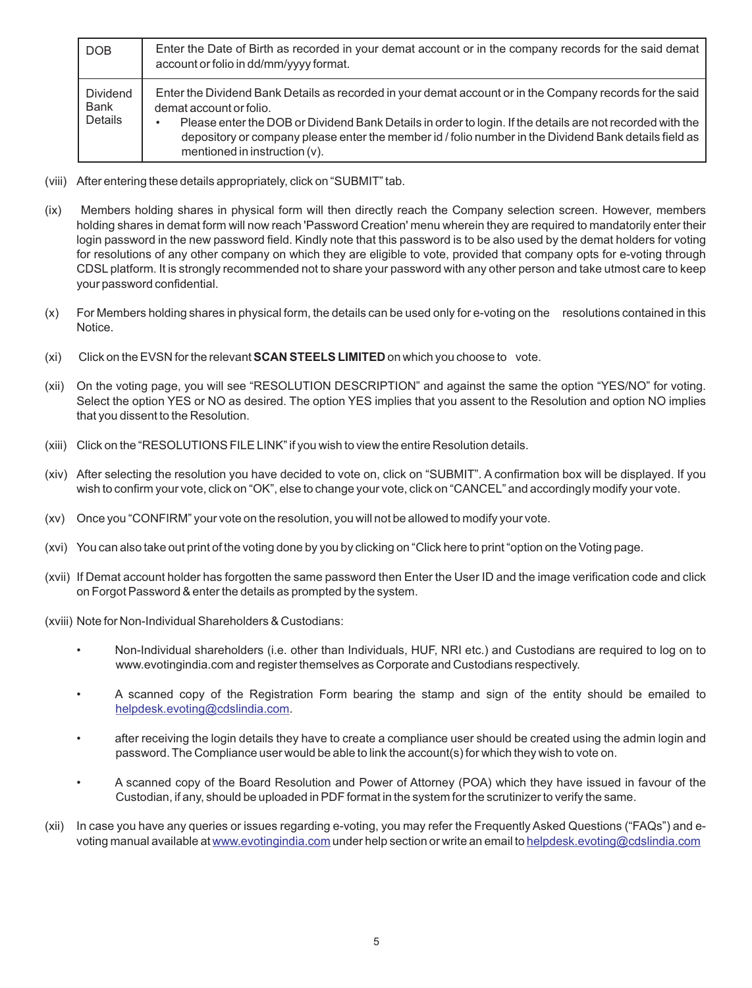| DOB                         | Enter the Date of Birth as recorded in your demat account or in the company records for the said demat<br>account or folio in dd/mm/yyyy format.                                                                                                      |
|-----------------------------|-------------------------------------------------------------------------------------------------------------------------------------------------------------------------------------------------------------------------------------------------------|
| Dividend<br>Bank<br>Details | Enter the Dividend Bank Details as recorded in your demat account or in the Company records for the said<br>demat account or folio.<br>Please enter the DOB or Dividend Bank Details in order to login. If the details are not recorded with the<br>٠ |
|                             | depository or company please enter the member id / folio number in the Dividend Bank details field as<br>mentioned in instruction $(v)$ .                                                                                                             |

- (viii) After entering these details appropriately, click on "SUBMIT" tab.
- (ix) Members holding shares in physical form will then directly reach the Company selection screen. However, members holding shares in demat form will now reach 'Password Creation' menu wherein they are required to mandatorily enter their login password in the new password field. Kindly note that this password is to be also used by the demat holders for voting for resolutions of any other company on which they are eligible to vote, provided that company opts for e-voting through CDSL platform. It is strongly recommended not to share your password with any other person and take utmost care to keep your password confidential.
- (x) For Members holding shares in physical form, the details can be used only for e-voting on the resolutions contained in this Notice.
- (xi) Click on the EVSN for the relevant **SCAN STEELS LIMITED** on which you choose to vote.
- (xii) On the voting page, you will see "RESOLUTION DESCRIPTION" and against the same the option "YES/NO" for voting. Select the option YES or NO as desired. The option YES implies that you assent to the Resolution and option NO implies that you dissent to the Resolution.
- (xiii) Click on the "RESOLUTIONS FILE LINK" if you wish to view the entire Resolution details.
- (xiv) After selecting the resolution you have decided to vote on, click on "SUBMIT". A confirmation box will be displayed. If you wish to confirm your vote, click on "OK", else to change your vote, click on "CANCEL" and accordingly modify your vote.
- (xv) Once you "CONFIRM" your vote on the resolution, you will not be allowed to modify your vote.
- (xvi) You can also take out print of the voting done by you by clicking on "Click here to print "option on the Voting page.
- (xvii) If Demat account holder has forgotten the same password then Enter the User ID and the image verification code and click on Forgot Password & enter the details as prompted by the system.

(xviii) Note for Non-Individual Shareholders & Custodians:

- Non-Individual shareholders (i.e. other than Individuals, HUF, NRI etc.) and Custodians are required to log on to www.evotingindia.com and register themselves as Corporate and Custodians respectively.
- A scanned copy of the Registration Form bearing the stamp and sign of the entity should be emailed to [helpdesk.evoting@cdslindia.com](mailto:helpdesk.evoting@cdslindia.com).
- after receiving the login details they have to create a compliance user should be created using the admin login and password. The Compliance user would be able to link the account(s) for which they wish to vote on.
- A scanned copy of the Board Resolution and Power of Attorney (POA) which they have issued in favour of the Custodian, if any, should be uploaded in PDF format in the system for the scrutinizer to verify the same.
- (xii) In case you have any queries or issues regarding e-voting, you may refer the Frequently Asked Questions ("FAQs") and evotingmanual available at <u>www.evotingindia.com</u> under help section or write an email to <u>[helpdesk.evoting@cdslindia.com](mailto:helpdesk.evoting@cdslindia.com)</u>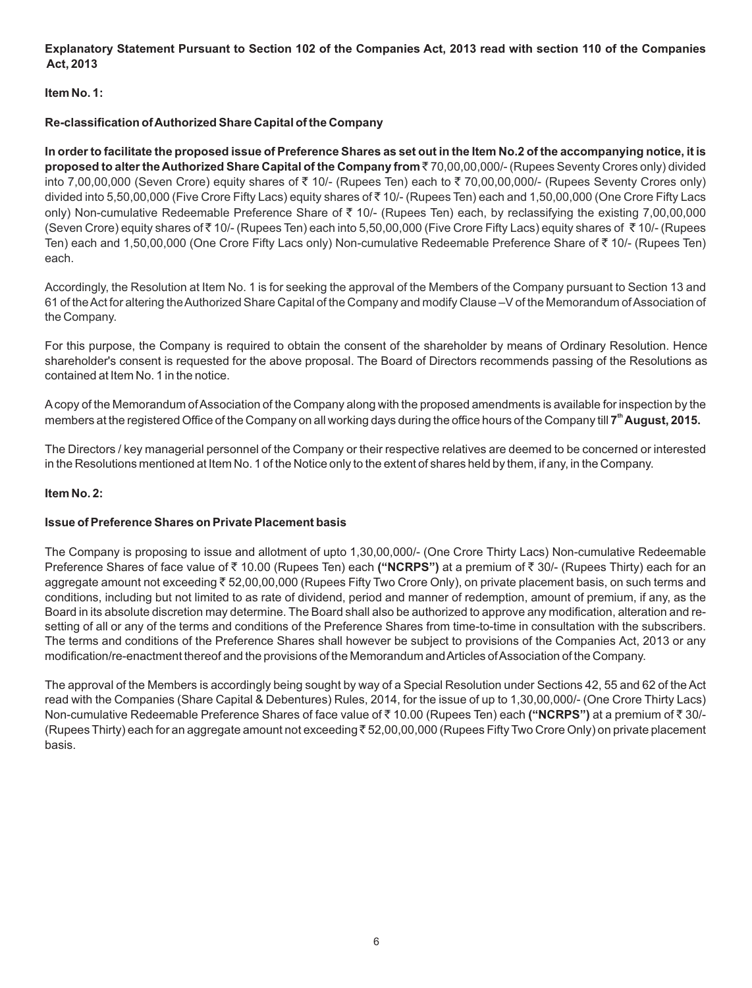**Explanatory Statement Pursuant to Section 102 of the Companies Act, 2013 read with section 110 of the Companies Act, 2013** 

### **Item No. 1:**

#### **Re-classification of Authorized Share Capital of the Company**

**In order to facilitate the proposed issue of Preference Shares as set out in the Item No.2 of the accompanying notice, it is proposed to alter the Authorized Share Capital of the Company from ₹70,00,00,000/- (Rupees Seventy Crores only) divided** into 7,00,00,000 (Seven Crore) equity shares of ₹ 10/- (Rupees Ten) each to ₹ 70,00,00,000/- (Rupees Seventy Crores only) divided into 5,50,00,000 (Five Crore Fifty Lacs) equity shares of `10/- (Rupees Ten) each and 1,50,00,000 (One Crore Fifty Lacs only) Non-cumulative Redeemable Preference Share of  $\bar{\tau}$  10/- (Rupees Ten) each, by reclassifying the existing 7,00,00,000 (Seven Crore) equity shares of ₹ 10/- (Rupees Ten) each into 5,50,00,000 (Five Crore Fifty Lacs) equity shares of ₹ 10/- (Rupees Ten) each and 1,50,00,000 (One Crore Fifty Lacs only) Non-cumulative Redeemable Preference Share of ₹10/- (Rupees Ten) each.

Accordingly, the Resolution at Item No. 1 is for seeking the approval of the Members of the Company pursuant to Section 13 and 61 of the Act for altering the Authorized Share Capital of the Company and modify Clause –V of the Memorandum of Association of the Company.

For this purpose, the Company is required to obtain the consent of the shareholder by means of Ordinary Resolution. Hence shareholder's consent is requested for the above proposal. The Board of Directors recommends passing of the Resolutions as contained at Item No. 1 in the notice.

Acopy of the Memorandum of Association of the Company along with the proposed amendments is available for inspection by the **th** members at the registered Office of the Company on all working days during the office hours of the Company till **7 August, 2015.** 

The Directors / key managerial personnel of the Company or their respective relatives are deemed to be concerned or interested in the Resolutions mentioned at Item No. 1 of the Notice only to the extent of shares held by them, if any, in the Company.

#### **Item No. 2:**

#### **Issue of Preference Shares on Private Placement basis**

The Company is proposing to issue and allotment of upto 1,30,00,000/- (One Crore Thirty Lacs) Non-cumulative Redeemable Preference Shares of face value of ₹ 10.00 (Rupees Ten) each **("NCRPS")** at a premium of ₹ 30/- (Rupees Thirty) each for an aggregate amount not exceeding₹52,00,00,000 (Rupees Fifty Two Crore Only), on private placement basis, on such terms and conditions, including but not limited to as rate of dividend, period and manner of redemption, amount of premium, if any, as the Board in its absolute discretion may determine. The Board shall also be authorized to approve any modification, alteration and resetting of all or any of the terms and conditions of the Preference Shares from time-to-time in consultation with the subscribers. The terms and conditions of the Preference Shares shall however be subject to provisions of the Companies Act, 2013 or any modification/re-enactment thereof and the provisions of the Memorandum and Articles of Association of the Company.

The approval of the Members is accordingly being sought by way of a Special Resolution under Sections 42, 55 and 62 of the Act read with the Companies (Share Capital & Debentures) Rules, 2014, for the issue of up to 1,30,00,000/- (One Crore Thirty Lacs) Non-cumulative Redeemable Preference Shares of face value of ₹ 10.00 (Rupees Ten) each **("NCRPS")** at a premium of ₹ 30/-(Rupees Thirty) each for an aggregate amount not exceeding ₹ 52,00,00,000 (Rupees Fifty Two Crore Only) on private placement basis.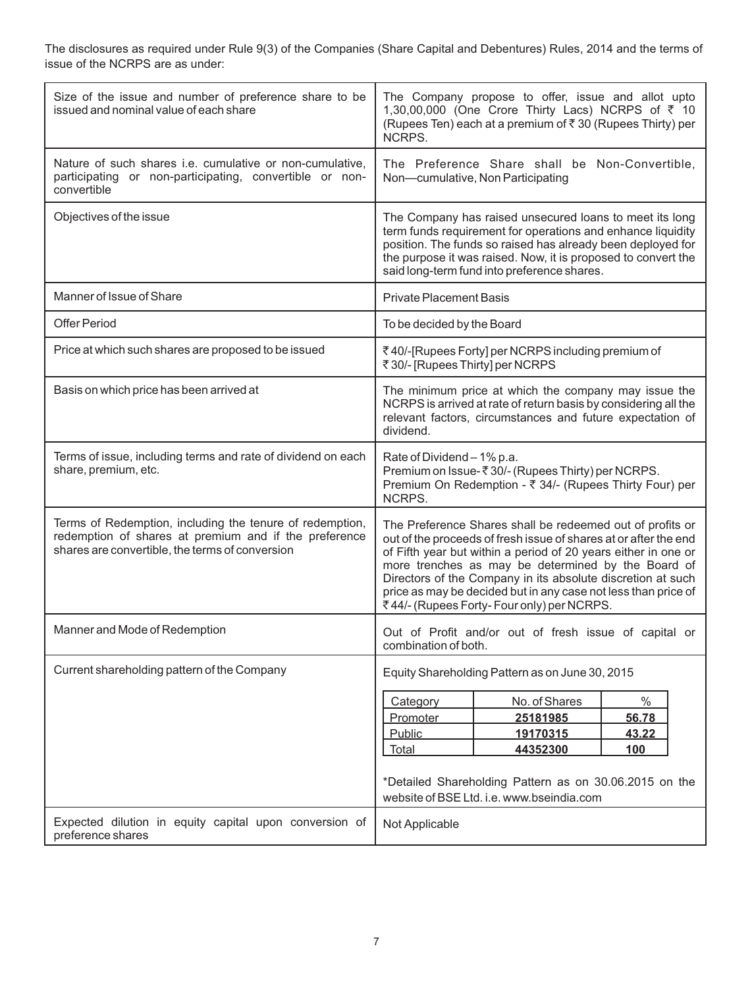The disclosures as required under Rule 9(3) of the Companies (Share Capital and Debentures) Rules, 2014 and the terms of issue of the NCRPS are as under:

| Size of the issue and number of preference share to be<br>issued and nominal value of each share                                                                     | The Company propose to offer, issue and allot upto<br>1,30,00,000 (One Crore Thirty Lacs) NCRPS of ₹ 10<br>(Rupees Ten) each at a premium of ₹30 (Rupees Thirty) per<br>NCRPS.                                                                                                                                                                                                                                                       |  |
|----------------------------------------------------------------------------------------------------------------------------------------------------------------------|--------------------------------------------------------------------------------------------------------------------------------------------------------------------------------------------------------------------------------------------------------------------------------------------------------------------------------------------------------------------------------------------------------------------------------------|--|
| Nature of such shares i.e. cumulative or non-cumulative,<br>participating or non-participating, convertible or non-<br>convertible                                   | The Preference Share shall be Non-Convertible,<br>Non-cumulative, Non Participating                                                                                                                                                                                                                                                                                                                                                  |  |
| Objectives of the issue                                                                                                                                              | The Company has raised unsecured loans to meet its long<br>term funds requirement for operations and enhance liquidity<br>position. The funds so raised has already been deployed for<br>the purpose it was raised. Now, it is proposed to convert the<br>said long-term fund into preference shares.                                                                                                                                |  |
| Manner of Issue of Share                                                                                                                                             | <b>Private Placement Basis</b>                                                                                                                                                                                                                                                                                                                                                                                                       |  |
| <b>Offer Period</b>                                                                                                                                                  | To be decided by the Board                                                                                                                                                                                                                                                                                                                                                                                                           |  |
| Price at which such shares are proposed to be issued                                                                                                                 | ₹40/-[Rupees Forty] per NCRPS including premium of<br>₹30/- [Rupees Thirty] per NCRPS                                                                                                                                                                                                                                                                                                                                                |  |
| Basis on which price has been arrived at                                                                                                                             | The minimum price at which the company may issue the<br>NCRPS is arrived at rate of return basis by considering all the<br>relevant factors, circumstances and future expectation of<br>dividend.                                                                                                                                                                                                                                    |  |
| Terms of issue, including terms and rate of dividend on each<br>share, premium, etc.                                                                                 | Rate of Dividend - 1% p.a.<br>Premium on Issue-₹30/- (Rupees Thirty) per NCRPS.<br>Premium On Redemption - ₹ 34/- (Rupees Thirty Four) per<br>NCRPS.                                                                                                                                                                                                                                                                                 |  |
| Terms of Redemption, including the tenure of redemption,<br>redemption of shares at premium and if the preference<br>shares are convertible, the terms of conversion | The Preference Shares shall be redeemed out of profits or<br>out of the proceeds of fresh issue of shares at or after the end<br>of Fifth year but within a period of 20 years either in one or<br>more trenches as may be determined by the Board of<br>Directors of the Company in its absolute discretion at such<br>price as may be decided but in any case not less than price of<br>₹44/- (Rupees Forty- Four only) per NCRPS. |  |
| Manner and Mode of Redemption                                                                                                                                        | Out of Profit and/or out of fresh issue of capital or<br>combination of both.                                                                                                                                                                                                                                                                                                                                                        |  |
| Current shareholding pattern of the Company                                                                                                                          | Equity Shareholding Pattern as on June 30, 2015                                                                                                                                                                                                                                                                                                                                                                                      |  |
|                                                                                                                                                                      | $\%$<br>No. of Shares<br>Category<br>Promoter<br>25181985<br>56.78<br>Public<br>19170315<br>43.22<br>44352300<br>Total<br><b>100</b><br>*Detailed Shareholding Pattern as on 30.06.2015 on the<br>website of BSE Ltd. i.e. www.bseindia.com                                                                                                                                                                                          |  |
| Expected dilution in equity capital upon conversion of<br>preference shares                                                                                          | Not Applicable                                                                                                                                                                                                                                                                                                                                                                                                                       |  |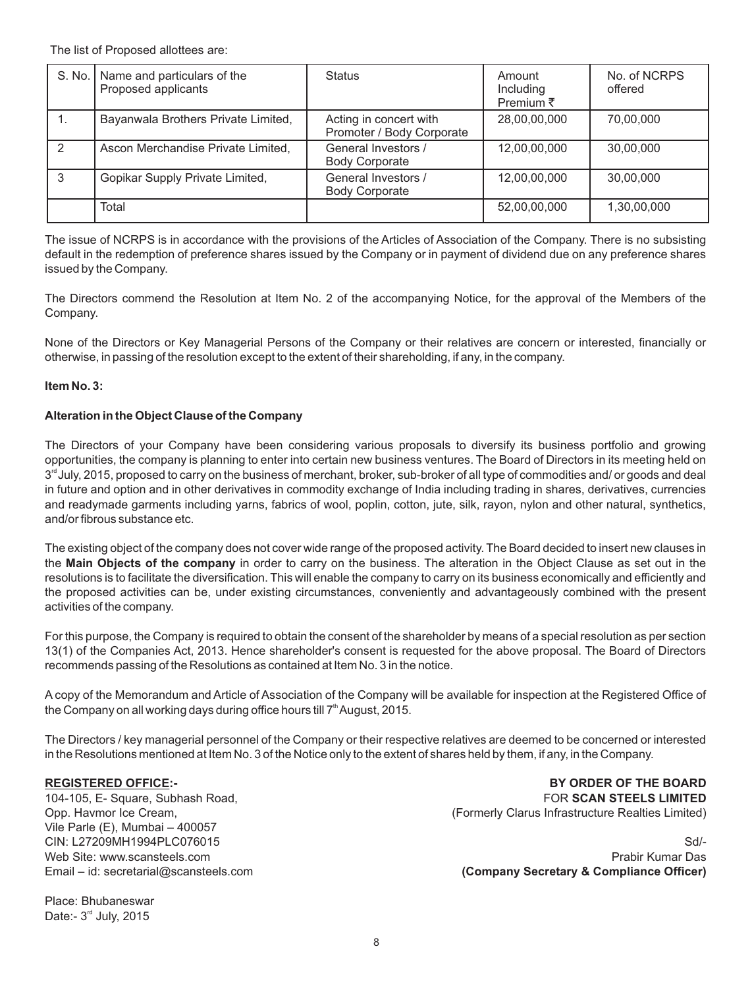The list of Proposed allottees are:

|               | S. No.   Name and particulars of the<br>Proposed applicants | <b>Status</b>                                       | Amount<br>Including<br>Premium $\bar{z}$ | No. of NCRPS<br>offered |
|---------------|-------------------------------------------------------------|-----------------------------------------------------|------------------------------------------|-------------------------|
| ι.            | Bayanwala Brothers Private Limited,                         | Acting in concert with<br>Promoter / Body Corporate | 28,00,00,000                             | 70,00,000               |
| $\mathcal{P}$ | Ascon Merchandise Private Limited,                          | General Investors /<br><b>Body Corporate</b>        | 12,00,00,000                             | 30,00,000               |
| 3             | Gopikar Supply Private Limited,                             | General Investors /<br><b>Body Corporate</b>        | 12,00,00,000                             | 30,00,000               |
|               | Total                                                       |                                                     | 52,00,00,000                             | 1,30,00,000             |

The issue of NCRPS is in accordance with the provisions of the Articles of Association of the Company. There is no subsisting default in the redemption of preference shares issued by the Company or in payment of dividend due on any preference shares issued by the Company.

The Directors commend the Resolution at Item No. 2 of the accompanying Notice, for the approval of the Members of the Company.

None of the Directors or Key Managerial Persons of the Company or their relatives are concern or interested, financially or otherwise, in passing of the resolution except to the extent of their shareholding, if any, in the company.

#### **Item No. 3:**

#### **Alteration in the Object Clause of the Company**

The Directors of your Company have been considering various proposals to diversify its business portfolio and growing opportunities, the company is planning to enter into certain new business ventures. The Board of Directors in its meeting held on  $3<sup>rd</sup>$  July, 2015, proposed to carry on the business of merchant, broker, sub-broker of all type of commodities and/ or goods and deal in future and option and in other derivatives in commodity exchange of India including trading in shares, derivatives, currencies and readymade garments including yarns, fabrics of wool, poplin, cotton, jute, silk, rayon, nylon and other natural, synthetics, and/or fibrous substance etc.

The existing object of the company does not cover wide range of the proposed activity. The Board decided to insert new clauses in the **Main Objects of the company** in order to carry on the business. The alteration in the Object Clause as set out in the resolutions is to facilitate the diversification. This will enable the company to carry on its business economically and efficiently and the proposed activities can be, under existing circumstances, conveniently and advantageously combined with the present activities of the company.

For this purpose, the Company is required to obtain the consent of the shareholder by means of a special resolution as per section 13(1) of the Companies Act, 2013. Hence shareholder's consent is requested for the above proposal. The Board of Directors recommends passing of the Resolutions as contained at Item No. 3 in the notice.

A copy of the Memorandum and Article of Association of the Company will be available for inspection at the Registered Office of the Company on all working days during office hours till  $7<sup>th</sup>$  August, 2015.

The Directors / key managerial personnel of the Company or their respective relatives are deemed to be concerned or interested in the Resolutions mentioned at Item No. 3 of the Notice only to the extent of shares held by them, if any, in the Company.

#### **REGISTERED OFFICE:-**

104-105, E- Square, Subhash Road, Opp. Havmor Ice Cream, Vile Parle (E), Mumbai – 400057 CIN: L27209MH1994PLC076015 Web Site: www.scansteels.com Email – id: secretarial@scansteels.com

Place: Bhubaneswar Date:-  $3<sup>rd</sup>$  July, 2015

 **BY ORDER OF THE BOARD** FOR **SCAN STEELS LIMITED** (Formerly Clarus Infrastructure Realties Limited)

Sd/- Prabir Kumar Das  **(Company Secretary & Compliance Officer)**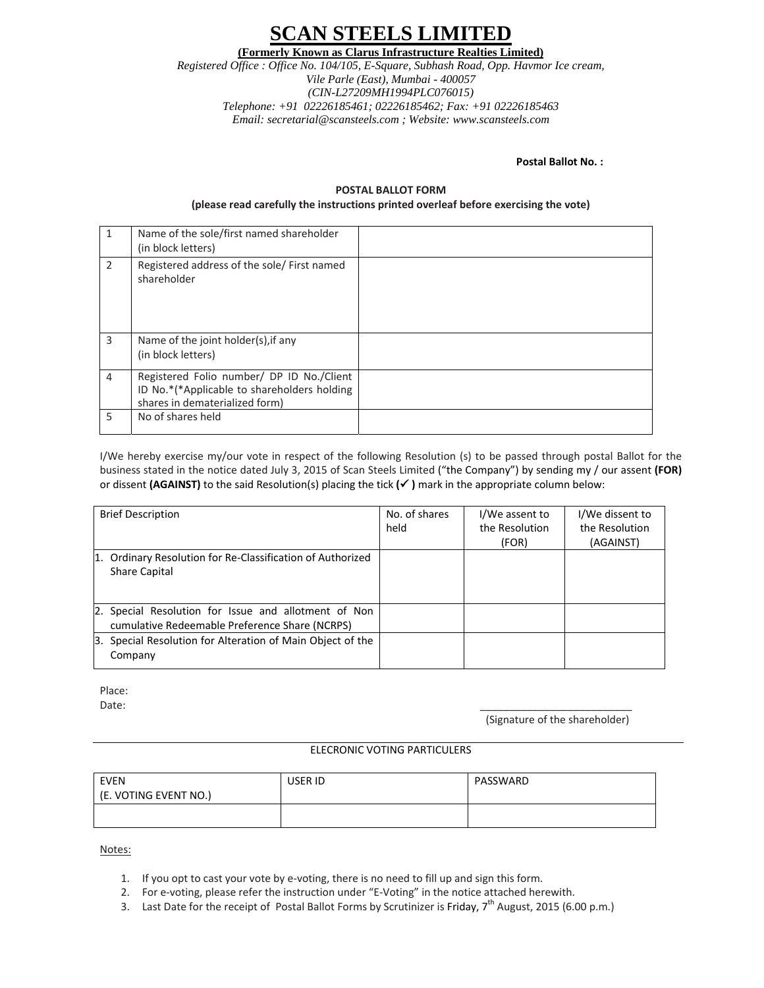# **N STEELS LIMITI**

**(Formerly Known as Clarus Infrastructure Realties Limited)**

*Registered Office : Office No. 104/105, E-Square, Subhash Road, Opp. Havmor Ice cream, Vile Parle (East), Mumbai - 400057 (CIN-L27209MH1994PLC076015) Telephone: +91 02226185461; 02226185462; Fax: +91 02226185463 Email: secretarial@scansteels.com ; Website: www.scansteels.com* 

**Postal Ballot No. :** 

#### **POSTAL BALLOT FORM**

#### **(please read carefully the instructions printed overleaf before exercising the vote)**

| 1              | Name of the sole/first named shareholder<br>(in block letters)                                                             |  |
|----------------|----------------------------------------------------------------------------------------------------------------------------|--|
| 2              | Registered address of the sole/First named<br>shareholder                                                                  |  |
| 3              | Name of the joint holder(s), if any<br>(in block letters)                                                                  |  |
| $\overline{4}$ | Registered Folio number/ DP ID No./Client<br>ID No.*(*Applicable to shareholders holding<br>shares in dematerialized form) |  |
| 5              | No of shares held                                                                                                          |  |

I/We hereby exercise my/our vote in respect of the following Resolution (s) to be passed through postal Ballot for the business stated in the notice dated July 3, 2015 of Scan Steels Limited ("the Company") by sending my / our assent **(FOR)** or dissent **(AGAINST)** to the said Resolution(s) placing the tick **(**9 **)** mark in the appropriate column below:

| <b>Brief Description</b>                                                                               | No. of shares<br>held | I/We assent to<br>the Resolution<br>(FOR) | I/We dissent to<br>the Resolution<br>(AGAINST) |
|--------------------------------------------------------------------------------------------------------|-----------------------|-------------------------------------------|------------------------------------------------|
| 1. Ordinary Resolution for Re-Classification of Authorized<br><b>Share Capital</b>                     |                       |                                           |                                                |
| 2. Special Resolution for Issue and allotment of Non<br>cumulative Redeemable Preference Share (NCRPS) |                       |                                           |                                                |
| Special Resolution for Alteration of Main Object of the<br>3.<br>Company                               |                       |                                           |                                                |

Place: Date: \_\_\_\_\_\_\_\_\_\_\_\_\_\_\_\_\_\_\_\_\_\_\_\_\_\_

(Signature of the shareholder)

#### ELECRONIC VOTING PARTICULERS

| <b>EVEN</b><br>(E. VOTING EVENT NO.) | USER ID | PASSWARD |
|--------------------------------------|---------|----------|
|                                      |         |          |

Notes:

- 1. If you opt to cast your vote by e‐voting, there is no need to fill up and sign this form.
- 2. For e-voting, please refer the instruction under "E-Voting" in the notice attached herewith.
- 3. Last Date for the receipt of Postal Ballot Forms by Scrutinizer is Friday,  $7^{th}$  August, 2015 (6.00 p.m.)